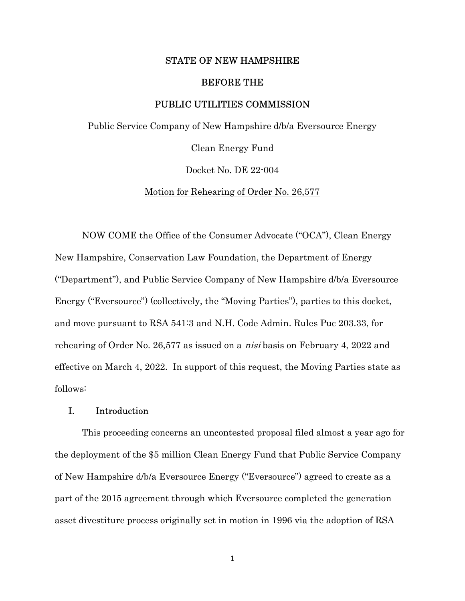#### STATE OF NEW HAMPSHIRE

#### BEFORE THE

### PUBLIC UTILITIES COMMISSION

Public Service Company of New Hampshire d/b/a Eversource Energy

Clean Energy Fund

Docket No. DE 22-004

Motion for Rehearing of Order No. 26,577

 NOW COME the Office of the Consumer Advocate ("OCA"), Clean Energy New Hampshire, Conservation Law Foundation, the Department of Energy ("Department"), and Public Service Company of New Hampshire d/b/a Eversource Energy ("Eversource") (collectively, the "Moving Parties"), parties to this docket, and move pursuant to RSA 541:3 and N.H. Code Admin. Rules Puc 203.33, for rehearing of Order No. 26,577 as issued on a nisi basis on February 4, 2022 and effective on March 4, 2022. In support of this request, the Moving Parties state as follows:

## I. Introduction

This proceeding concerns an uncontested proposal filed almost a year ago for the deployment of the \$5 million Clean Energy Fund that Public Service Company of New Hampshire d/b/a Eversource Energy ("Eversource") agreed to create as a part of the 2015 agreement through which Eversource completed the generation asset divestiture process originally set in motion in 1996 via the adoption of RSA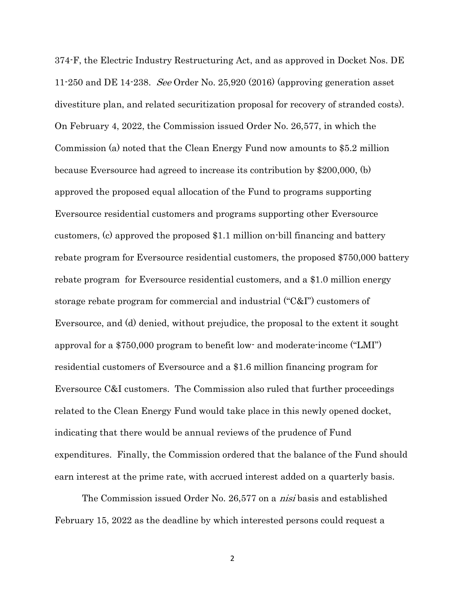374-F, the Electric Industry Restructuring Act, and as approved in Docket Nos. DE 11-250 and DE 14-238. See Order No. 25,920 (2016) (approving generation asset divestiture plan, and related securitization proposal for recovery of stranded costs). On February 4, 2022, the Commission issued Order No. 26,577, in which the Commission (a) noted that the Clean Energy Fund now amounts to \$5.2 million because Eversource had agreed to increase its contribution by \$200,000, (b) approved the proposed equal allocation of the Fund to programs supporting Eversource residential customers and programs supporting other Eversource customers, (c) approved the proposed \$1.1 million on-bill financing and battery rebate program for Eversource residential customers, the proposed \$750,000 battery rebate program for Eversource residential customers, and a \$1.0 million energy storage rebate program for commercial and industrial ("C&I") customers of Eversource, and (d) denied, without prejudice, the proposal to the extent it sought approval for a \$750,000 program to benefit low- and moderate-income ("LMI") residential customers of Eversource and a \$1.6 million financing program for Eversource C&I customers. The Commission also ruled that further proceedings related to the Clean Energy Fund would take place in this newly opened docket, indicating that there would be annual reviews of the prudence of Fund expenditures. Finally, the Commission ordered that the balance of the Fund should earn interest at the prime rate, with accrued interest added on a quarterly basis.

The Commission issued Order No. 26,577 on a *nisi* basis and established February 15, 2022 as the deadline by which interested persons could request a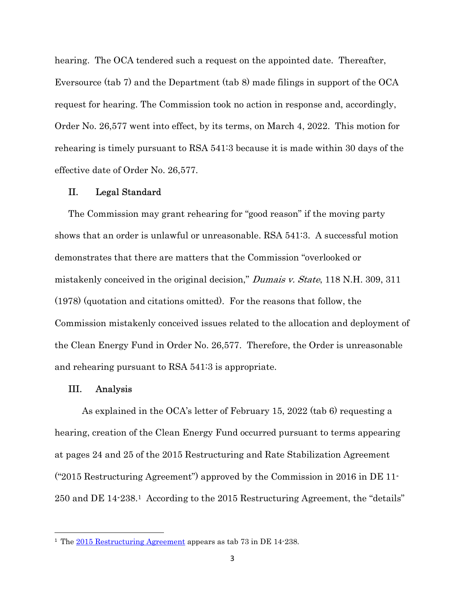hearing. The OCA tendered such a request on the appointed date. Thereafter, Eversource (tab 7) and the Department (tab 8) made filings in support of the OCA request for hearing. The Commission took no action in response and, accordingly, Order No. 26,577 went into effect, by its terms, on March 4, 2022. This motion for rehearing is timely pursuant to RSA 541:3 because it is made within 30 days of the effective date of Order No. 26,577.

### II. Legal Standard

The Commission may grant rehearing for "good reason" if the moving party shows that an order is unlawful or unreasonable. RSA 541:3. A successful motion demonstrates that there are matters that the Commission "overlooked or mistakenly conceived in the original decision," Dumais v. State, 118 N.H. 309, 311 (1978) (quotation and citations omitted). For the reasons that follow, the Commission mistakenly conceived issues related to the allocation and deployment of the Clean Energy Fund in Order No. 26,577. Therefore, the Order is unreasonable and rehearing pursuant to RSA 541:3 is appropriate.

#### III. Analysis

As explained in the OCA's letter of February 15, 2022 (tab 6) requesting a hearing, creation of the Clean Energy Fund occurred pursuant to terms appearing at pages 24 and 25 of the 2015 Restructuring and Rate Stabilization Agreement ("2015 Restructuring Agreement") approved by the Commission in 2016 in DE 11- 250 and DE 14-238.1 According to the 2015 Restructuring Agreement, the "details"

<sup>&</sup>lt;sup>1</sup> The 2015 Restructuring Agreement appears as tab 73 in DE 14-238.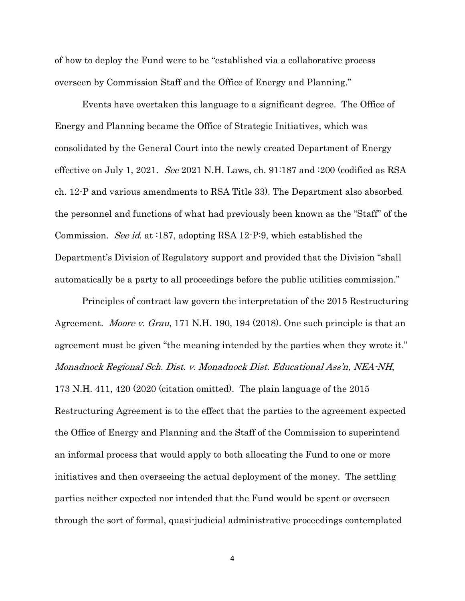of how to deploy the Fund were to be "established via a collaborative process overseen by Commission Staff and the Office of Energy and Planning."

Events have overtaken this language to a significant degree. The Office of Energy and Planning became the Office of Strategic Initiatives, which was consolidated by the General Court into the newly created Department of Energy effective on July 1, 2021. See 2021 N.H. Laws, ch.  $91:187$  and  $:200$  (codified as RSA ch. 12-P and various amendments to RSA Title 33). The Department also absorbed the personnel and functions of what had previously been known as the "Staff" of the Commission. *See id.* at :187, adopting RSA 12-P:9, which established the Department's Division of Regulatory support and provided that the Division "shall automatically be a party to all proceedings before the public utilities commission."

Principles of contract law govern the interpretation of the 2015 Restructuring Agreement. Moore v. Grau, 171 N.H. 190, 194 (2018). One such principle is that an agreement must be given "the meaning intended by the parties when they wrote it." Monadnock Regional Sch. Dist. v. Monadnock Dist. Educational Ass'n, NEA-NH, 173 N.H. 411, 420 (2020 (citation omitted). The plain language of the 2015 Restructuring Agreement is to the effect that the parties to the agreement expected the Office of Energy and Planning and the Staff of the Commission to superintend an informal process that would apply to both allocating the Fund to one or more initiatives and then overseeing the actual deployment of the money. The settling parties neither expected nor intended that the Fund would be spent or overseen through the sort of formal, quasi-judicial administrative proceedings contemplated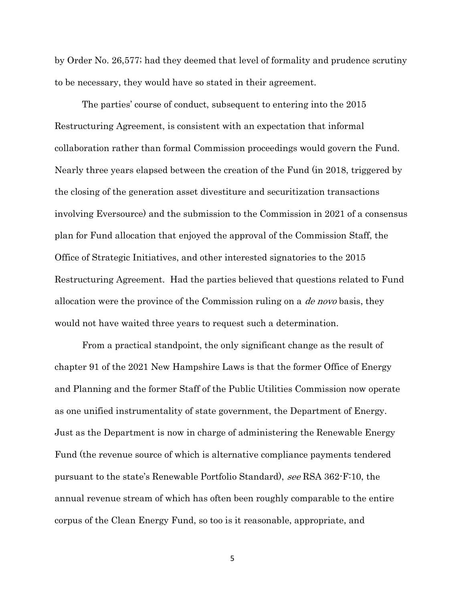by Order No. 26,577; had they deemed that level of formality and prudence scrutiny to be necessary, they would have so stated in their agreement.

The parties' course of conduct, subsequent to entering into the 2015 Restructuring Agreement, is consistent with an expectation that informal collaboration rather than formal Commission proceedings would govern the Fund. Nearly three years elapsed between the creation of the Fund (in 2018, triggered by the closing of the generation asset divestiture and securitization transactions involving Eversource) and the submission to the Commission in 2021 of a consensus plan for Fund allocation that enjoyed the approval of the Commission Staff, the Office of Strategic Initiatives, and other interested signatories to the 2015 Restructuring Agreement. Had the parties believed that questions related to Fund allocation were the province of the Commission ruling on a de novo basis, they would not have waited three years to request such a determination.

From a practical standpoint, the only significant change as the result of chapter 91 of the 2021 New Hampshire Laws is that the former Office of Energy and Planning and the former Staff of the Public Utilities Commission now operate as one unified instrumentality of state government, the Department of Energy. Just as the Department is now in charge of administering the Renewable Energy Fund (the revenue source of which is alternative compliance payments tendered pursuant to the state's Renewable Portfolio Standard), see RSA 362-F:10, the annual revenue stream of which has often been roughly comparable to the entire corpus of the Clean Energy Fund, so too is it reasonable, appropriate, and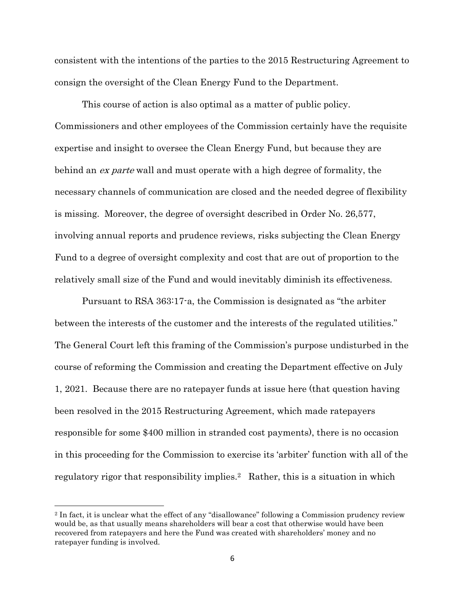consistent with the intentions of the parties to the 2015 Restructuring Agreement to consign the oversight of the Clean Energy Fund to the Department.

This course of action is also optimal as a matter of public policy. Commissioners and other employees of the Commission certainly have the requisite expertise and insight to oversee the Clean Energy Fund, but because they are behind an ex parte wall and must operate with a high degree of formality, the necessary channels of communication are closed and the needed degree of flexibility is missing. Moreover, the degree of oversight described in Order No. 26,577, involving annual reports and prudence reviews, risks subjecting the Clean Energy Fund to a degree of oversight complexity and cost that are out of proportion to the relatively small size of the Fund and would inevitably diminish its effectiveness.

Pursuant to RSA 363:17-a, the Commission is designated as "the arbiter between the interests of the customer and the interests of the regulated utilities." The General Court left this framing of the Commission's purpose undisturbed in the course of reforming the Commission and creating the Department effective on July 1, 2021. Because there are no ratepayer funds at issue here (that question having been resolved in the 2015 Restructuring Agreement, which made ratepayers responsible for some \$400 million in stranded cost payments), there is no occasion in this proceeding for the Commission to exercise its 'arbiter' function with all of the regulatory rigor that responsibility implies.<sup>2</sup> Rather, this is a situation in which

<sup>2</sup> In fact, it is unclear what the effect of any "disallowance" following a Commission prudency review would be, as that usually means shareholders will bear a cost that otherwise would have been recovered from ratepayers and here the Fund was created with shareholders' money and no ratepayer funding is involved.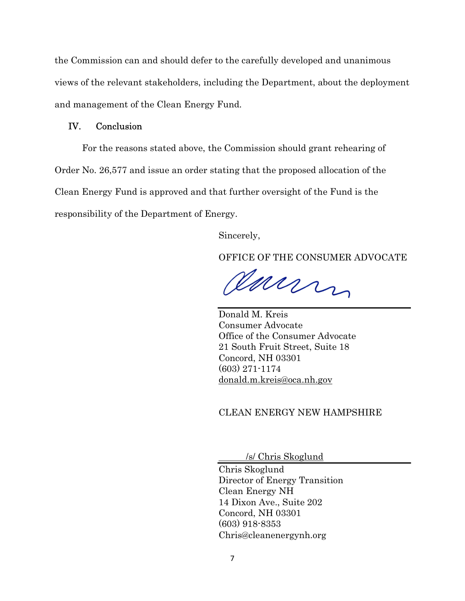the Commission can and should defer to the carefully developed and unanimous views of the relevant stakeholders, including the Department, about the deployment and management of the Clean Energy Fund.

# IV. Conclusion

For the reasons stated above, the Commission should grant rehearing of Order No. 26,577 and issue an order stating that the proposed allocation of the Clean Energy Fund is approved and that further oversight of the Fund is the responsibility of the Department of Energy.

Sincerely,

OFFICE OF THE CONSUMER ADVOCATE

Carry

Donald M. Kreis Consumer Advocate Office of the Consumer Advocate 21 South Fruit Street, Suite 18 Concord, NH 03301 (603) 271-1174 donald.m.kreis@oca.nh.gov

## CLEAN ENERGY NEW HAMPSHIRE

/s/ Chris Skoglund

Chris Skoglund Director of Energy Transition Clean Energy NH 14 Dixon Ave., Suite 202 Concord, NH 03301 (603) 918-8353 Chris@cleanenergynh.org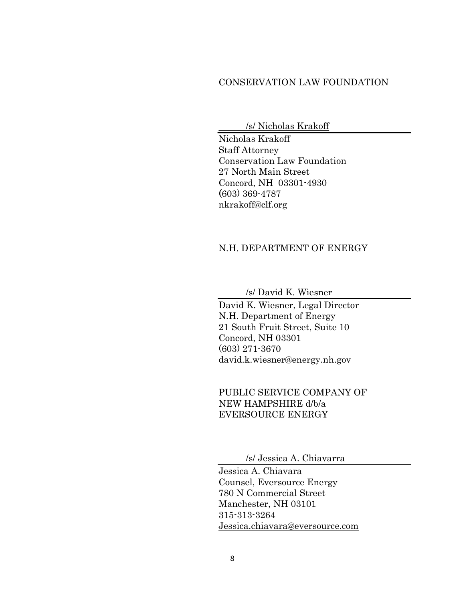## CONSERVATION LAW FOUNDATION

/s/ Nicholas Krakoff

Nicholas Krakoff Staff Attorney Conservation Law Foundation 27 North Main Street Concord, NH 03301-4930 (603) 369-4787 nkrakoff@clf.org

# N.H. DEPARTMENT OF ENERGY

/s/ David K. Wiesner

David K. Wiesner, Legal Director N.H. Department of Energy 21 South Fruit Street, Suite 10 Concord, NH 03301 (603) 271-3670 david.k.wiesner@energy.nh.gov

 PUBLIC SERVICE COMPANY OF NEW HAMPSHIRE d/b/a EVERSOURCE ENERGY

/s/ Jessica A. Chiavarra

Jessica A. Chiavara Counsel, Eversource Energy 780 N Commercial Street Manchester, NH 03101 315-313-3264 Jessica.chiavara@eversource.com